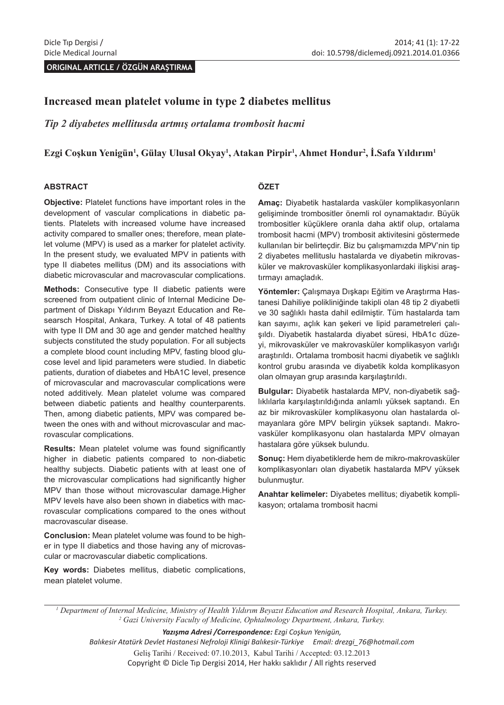**ORIGINAL ARTICLE / ÖZGÜN ARAŞTIRMA** 

# **Increased mean platelet volume in type 2 diabetes mellitus**

*Tip 2 diyabetes mellitusda artmış ortalama trombosit hacmi*

### **Ezgi Coşkun Yenigün<sup>1</sup> , Gülay Ulusal Okyay<sup>1</sup> , Atakan Pirpir<sup>1</sup> , Ahmet Hondur2 , İ.Safa Yıldırım<sup>1</sup>**

#### **ABSTRACT**

**Objective:** Platelet functions have important roles in the development of vascular complications in diabetic patients. Platelets with increased volume have increased activity compared to smaller ones; therefore, mean platelet volume (MPV) is used as a marker for platelet activity. In the present study, we evaluated MPV in patients with type II diabetes mellitus (DM) and its associations with diabetic microvascular and macrovascular complications.

**Methods:** Consecutive type II diabetic patients were screened from outpatient clinic of Internal Medicine Department of Diskapı Yıldırım Beyazıt Education and Researsch Hospital, Ankara, Turkey. A total of 48 patients with type II DM and 30 age and gender matched healthy subjects constituted the study population. For all subjects a complete blood count including MPV, fasting blood glucose level and lipid parameters were studied. In diabetic patients, duration of diabetes and HbA1C level, presence of microvascular and macrovascular complications were noted additively. Mean platelet volume was compared between diabetic patients and healthy counterparents. Then, among diabetic patients, MPV was compared between the ones with and without microvascular and macrovascular complications.

**Results:** Mean platelet volume was found significantly higher in diabetic patients compared to non-diabetic healthy subjects. Diabetic patients with at least one of the microvascular complications had significantly higher MPV than those without microvascular damage.Higher MPV levels have also been shown in diabetics with macrovascular complications compared to the ones without macrovascular disease.

**Conclusion:** Mean platelet volume was found to be higher in type II diabetics and those having any of microvascular or macrovascular diabetic complications.

**Key words:** Diabetes mellitus, diabetic complications, mean platelet volume.

#### **ÖZET**

**Amaç:** Diyabetik hastalarda vasküler komplikasyonların gelişiminde trombositler önemli rol oynamaktadır. Büyük trombositler küçüklere oranla daha aktif olup, ortalama trombosit hacmi (MPV) trombosit aktivitesini göstermede kullanılan bir belirteçdir. Biz bu çalışmamızda MPV'nin tip 2 diyabetes mellituslu hastalarda ve diyabetin mikrovasküler ve makrovasküler komplikasyonlardaki ilişkisi araştırmayı amaçladık.

**Yöntemler:** Çalışmaya Dışkapı Eğitim ve Araştırma Hastanesi Dahiliye polikliniğinde takipli olan 48 tip 2 diyabetli ve 30 sağlıklı hasta dahil edilmiştir. Tüm hastalarda tam kan sayımı, açlık kan şekeri ve lipid parametreleri çalışıldı. Diyabetik hastalarda diyabet süresi, HbA1c düzeyi, mikrovasküler ve makrovasküler komplikasyon varlığı araştırıldı. Ortalama trombosit hacmi diyabetik ve sağlıklı kontrol grubu arasında ve diyabetik kolda komplikasyon olan olmayan grup arasında karşılaştırıldı.

**Bulgular:** Diyabetik hastalarda MPV, non-diyabetik sağlıklılarla karşılaştırıldığında anlamlı yüksek saptandı. En az bir mikrovasküler komplikasyonu olan hastalarda olmayanlara göre MPV belirgin yüksek saptandı. Makrovasküler komplikasyonu olan hastalarda MPV olmayan hastalara göre yüksek bulundu.

**Sonuç:** Hem diyabetiklerde hem de mikro-makrovasküler komplikasyonları olan diyabetik hastalarda MPV yüksek bulunmuştur.

**Anahtar kelimeler:** Diyabetes mellitus; diyabetik komplikasyon; ortalama trombosit hacmi

*1 Department of Internal Medicine, Ministry of Health Yıldırım Beyazıt Education and Research Hospital, Ankara, Turkey. 2 Gazi University Faculty of Medicine, Ophtalmology Department, Ankara, Turkey.*

*Yazışma Adresi /Correspondence: Ezgi Coşkun Yenigün,* 

*Balıkesir Atatürk Devlet Hastanesi Nefroloji Klinigi Balıkesir-Türkiye Email: drezgi\_76@hotmail.com* Geliş Tarihi / Received: 07.10.2013, Kabul Tarihi / Accepted: 03.12.2013 Copyright © Dicle Tıp Dergisi 2014, Her hakkı saklıdır / All rights reserved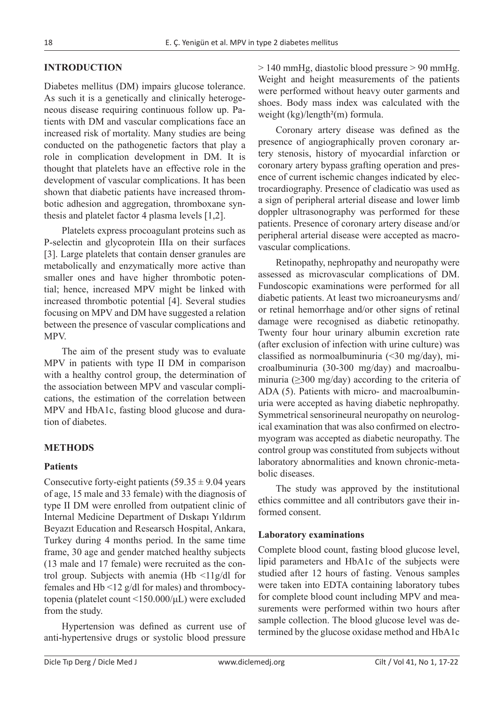## **INTRODUCTION**

Diabetes mellitus (DM) impairs glucose tolerance. As such it is a genetically and clinically heterogeneous disease requiring continuous follow up. Patients with DM and vascular complications face an increased risk of mortality. Many studies are being conducted on the pathogenetic factors that play a role in complication development in DM. It is thought that platelets have an effective role in the development of vascular complications. It has been shown that diabetic patients have increased thrombotic adhesion and aggregation, thromboxane synthesis and platelet factor 4 plasma levels [1,2].

Platelets express procoagulant proteins such as P-selectin and glycoprotein IIIa on their surfaces [3]. Large platelets that contain denser granules are metabolically and enzymatically more active than smaller ones and have higher thrombotic potential; hence, increased MPV might be linked with increased thrombotic potential [4]. Several studies focusing on MPV and DM have suggested a relation between the presence of vascular complications and MPV.

The aim of the present study was to evaluate MPV in patients with type II DM in comparison with a healthy control group, the determination of the association between MPV and vascular complications, the estimation of the correlation between MPV and HbA1c, fasting blood glucose and duration of diabetes.

## **METHODS**

### **Patients**

Consecutive forty-eight patients  $(59.35 \pm 9.04 \text{ years})$ of age, 15 male and 33 female) with the diagnosis of type II DM were enrolled from outpatient clinic of Internal Medicine Department of Dıskapı Yıldırım Beyazıt Education and Researsch Hospital, Ankara, Turkey during 4 months period. In the same time frame, 30 age and gender matched healthy subjects (13 male and 17 female) were recruited as the control group. Subjects with anemia  $(Hb \leq 11g/d)$  for females and Hb <12 g/dl for males) and thrombocytopenia (platelet count <150.000/μL) were excluded from the study.

Hypertension was defined as current use of anti-hypertensive drugs or systolic blood pressure

> 140 mmHg, diastolic blood pressure > 90 mmHg. Weight and height measurements of the patients were performed without heavy outer garments and shoes. Body mass index was calculated with the weight (kg)/length<sup>2</sup>(m) formula.

Coronary artery disease was defined as the presence of angiographically proven coronary artery stenosis, history of myocardial infarction or coronary artery bypass grafting operation and presence of current ischemic changes indicated by electrocardiography. Presence of cladicatio was used as a sign of peripheral arterial disease and lower limb doppler ultrasonography was performed for these patients. Presence of coronary artery disease and/or peripheral arterial disease were accepted as macrovascular complications.

Retinopathy, nephropathy and neuropathy were assessed as microvascular complications of DM. Fundoscopic examinations were performed for all diabetic patients. At least two microaneurysms and/ or retinal hemorrhage and/or other signs of retinal damage were recognised as diabetic retinopathy. Twenty four hour urinary albumin excretion rate (after exclusion of infection with urine culture) was classified as normoalbuminuria  $(\leq 30 \text{ mg/day})$ , microalbuminuria (30-300 mg/day) and macroalbuminuria ( $\geq$ 300 mg/day) according to the criteria of ADA (5). Patients with micro- and macroalbuminuria were accepted as having diabetic nephropathy. Symmetrical sensorineural neuropathy on neurological examination that was also confirmed on electromyogram was accepted as diabetic neuropathy. The control group was constituted from subjects without laboratory abnormalities and known chronic-metabolic diseases.

The study was approved by the institutional ethics committee and all contributors gave their informed consent.

### **Laboratory examinations**

Complete blood count, fasting blood glucose level, lipid parameters and HbA1c of the subjects were studied after 12 hours of fasting. Venous samples were taken into EDTA containing laboratory tubes for complete blood count including MPV and measurements were performed within two hours after sample collection. The blood glucose level was determined by the glucose oxidase method and HbA1c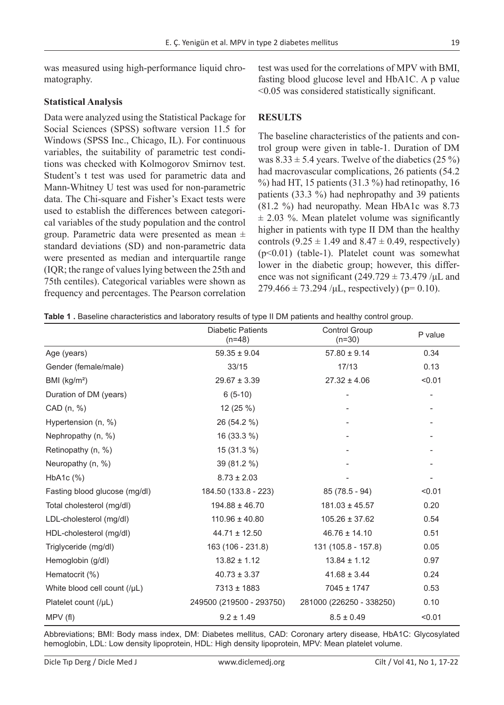was measured using high-performance liquid chromatography.

## **Statistical Analysis**

Data were analyzed using the Statistical Package for Social Sciences (SPSS) software version 11.5 for Windows (SPSS Inc., Chicago, IL). For continuous variables, the suitability of parametric test conditions was checked with Kolmogorov Smirnov test. Student's t test was used for parametric data and Mann-Whitney U test was used for non-parametric data. The Chi-square and Fisher's Exact tests were used to establish the differences between categorical variables of the study population and the control group. Parametric data were presented as mean ± standard deviations (SD) and non-parametric data were presented as median and interquartile range (IQR; the range of values lying between the 25th and 75th centiles). Categorical variables were shown as frequency and percentages. The Pearson correlation test was used for the correlations of MPV with BMI, fasting blood glucose level and HbA1C. A p value <0.05 was considered statistically significant.

### **RESULTS**

The baseline characteristics of the patients and control group were given in table-1. Duration of DM was  $8.33 \pm 5.4$  years. Twelve of the diabetics (25 %) had macrovascular complications, 26 patients (54.2  $\%$ ) had HT, 15 patients (31.3  $\%$ ) had retinopathy, 16 patients (33.3 %) had nephropathy and 39 patients (81.2 %) had neuropathy. Mean HbA1c was 8.73  $\pm$  2.03 %. Mean platelet volume was significantly higher in patients with type II DM than the healthy controls  $(9.25 \pm 1.49$  and  $8.47 \pm 0.49$ , respectively) (p<0.01) (table-1). Platelet count was somewhat lower in the diabetic group; however, this difference was not significant  $(249.729 \pm 73.479)$  / $\mu$ L and  $279.466 \pm 73.294$  /μL, respectively) (p= 0.10).

|  |  | Table 1. Baseline characteristics and laboratory results of type II DM patients and healthy control group. |  |  |  |  |  |  |
|--|--|------------------------------------------------------------------------------------------------------------|--|--|--|--|--|--|
|--|--|------------------------------------------------------------------------------------------------------------|--|--|--|--|--|--|

|                               | Diabetic Patients<br>$(n=48)$ | <b>Control Group</b><br>$(n=30)$ | P value |
|-------------------------------|-------------------------------|----------------------------------|---------|
| Age (years)                   | $59.35 \pm 9.04$              | $57.80 \pm 9.14$                 | 0.34    |
| Gender (female/male)          | 33/15                         | 17/13                            | 0.13    |
| BMI (kg/m <sup>2</sup> )      | $29.67 \pm 3.39$              | $27.32 \pm 4.06$                 | < 0.01  |
| Duration of DM (years)        | $6(5-10)$                     |                                  |         |
| CAD (n, %)                    | 12 $(25%)$                    |                                  |         |
| Hypertension (n, %)           | 26 (54.2 %)                   |                                  |         |
| Nephropathy (n, %)            | 16 (33.3 %)                   |                                  |         |
| Retinopathy (n, %)            | 15 (31.3 %)                   |                                  |         |
| Neuropathy (n, %)             | 39 (81.2 %)                   |                                  |         |
| HbA1c (%)                     | $8.73 \pm 2.03$               |                                  |         |
| Fasting blood glucose (mg/dl) | 184.50 (133.8 - 223)          | $85(78.5 - 94)$                  | < 0.01  |
| Total cholesterol (mg/dl)     | $194.88 \pm 46.70$            | $181.03 \pm 45.57$               | 0.20    |
| LDL-cholesterol (mg/dl)       | $110.96 \pm 40.80$            | $105.26 \pm 37.62$               | 0.54    |
| HDL-cholesterol (mg/dl)       | $44.71 \pm 12.50$             | $46.76 \pm 14.10$                | 0.51    |
| Triglyceride (mg/dl)          | 163 (106 - 231.8)             | 131 (105.8 - 157.8)              | 0.05    |
| Hemoglobin (g/dl)             | $13.82 \pm 1.12$              | $13.84 \pm 1.12$                 | 0.97    |
| Hematocrit (%)                | $40.73 \pm 3.37$              | $41.68 \pm 3.44$                 | 0.24    |
| White blood cell count (/µL)  | 7313 ± 1883                   | 7045 ± 1747                      | 0.53    |
| Platelet count (/µL)          | 249500 (219500 - 293750)      | 281000 (226250 - 338250)         | 0.10    |
| MPV(f)                        | $9.2 \pm 1.49$                | $8.5 \pm 0.49$                   | < 0.01  |

Abbreviations; BMI: Body mass index, DM: Diabetes mellitus, CAD: Coronary artery disease, HbA1C: Glycosylated hemoglobin, LDL: Low density lipoprotein, HDL: High density lipoprotein, MPV: Mean platelet volume.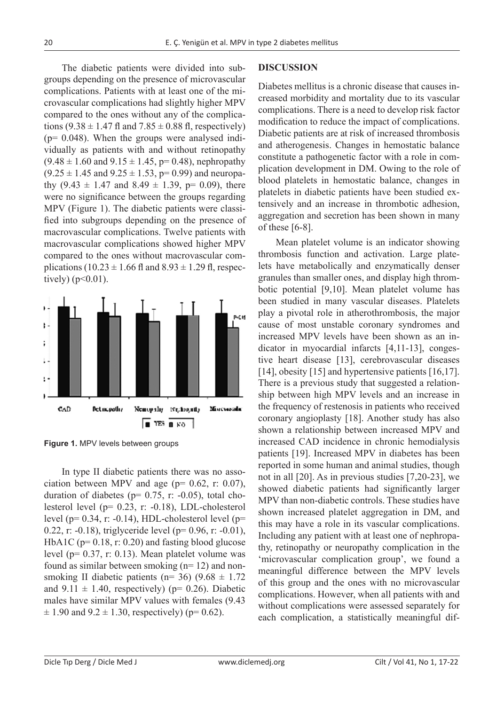The diabetic patients were divided into subgroups depending on the presence of microvascular complications. Patients with at least one of the microvascular complications had slightly higher MPV compared to the ones without any of the complications  $(9.38 \pm 1.47 \text{ fl and } 7.85 \pm 0.88 \text{ fl, respectively})$  $(p= 0.048)$ . When the groups were analysed individually as patients with and without retinopathy  $(9.48 \pm 1.60 \text{ and } 9.15 \pm 1.45, \text{p} = 0.48)$ , nephropathy  $(9.25 \pm 1.45 \text{ and } 9.25 \pm 1.53, \text{ p} = 0.99)$  and neuropathy  $(9.43 \pm 1.47 \text{ and } 8.49 \pm 1.39, \text{ p} = 0.09)$ , there were no significance between the groups regarding MPV (Figure 1). The diabetic patients were classified into subgroups depending on the presence of macrovascular complications. Twelve patients with macrovascular complications showed higher MPV compared to the ones without macrovascular complications (10.23  $\pm$  1.66 fl and 8.93  $\pm$  1.29 fl, respectively)  $(p<0.01)$ .



**Figure 1.** MPV levels between groups

In type II diabetic patients there was no association between MPV and age ( $p= 0.62$ , r: 0.07), duration of diabetes ( $p= 0.75$ , r: -0.05), total cholesterol level (p= 0.23, r: -0.18), LDL-cholesterol level ( $p= 0.34$ , r: -0.14), HDL-cholesterol level ( $p=$ 0.22, r: -0.18), triglyceride level ( $p= 0.96$ , r: -0.01), HbA1C ( $p= 0.18$ , r: 0.20) and fasting blood glucose level (p= 0.37, r: 0.13). Mean platelet volume was found as similar between smoking (n= 12) and nonsmoking II diabetic patients (n= 36) (9.68  $\pm$  1.72 and  $9.11 \pm 1.40$ , respectively) (p= 0.26). Diabetic males have similar MPV values with females (9.43  $\pm$  1.90 and 9.2  $\pm$  1.30, respectively) (p= 0.62).

#### **DISCUSSION**

Diabetes mellitus is a chronic disease that causes increased morbidity and mortality due to its vascular complications. There is a need to develop risk factor modification to reduce the impact of complications. Diabetic patients are at risk of increased thrombosis and atherogenesis. Changes in hemostatic balance constitute a pathogenetic factor with a role in complication development in DM. Owing to the role of blood platelets in hemostatic balance, changes in platelets in diabetic patients have been studied extensively and an increase in thrombotic adhesion, aggregation and secretion has been shown in many of these [6-8].

Mean platelet volume is an indicator showing thrombosis function and activation. Large platelets have metabolically and enzymatically denser granules than smaller ones, and display high thrombotic potential [9,10]. Mean platelet volume has been studied in many vascular diseases. Platelets play a pivotal role in atherothrombosis, the major cause of most unstable coronary syndromes and increased MPV levels have been shown as an indicator in myocardial infarcts [4,11-13], congestive heart disease [13], cerebrovascular diseases [14], obesity [15] and hypertensive patients [16,17]. There is a previous study that suggested a relationship between high MPV levels and an increase in the frequency of restenosis in patients who received coronary angioplasty [18]. Another study has also shown a relationship between increased MPV and increased CAD incidence in chronic hemodialysis patients [19]. Increased MPV in diabetes has been reported in some human and animal studies, though not in all [20]. As in previous studies [7,20-23], we showed diabetic patients had significantly larger MPV than non-diabetic controls. These studies have shown increased platelet aggregation in DM, and this may have a role in its vascular complications. Including any patient with at least one of nephropathy, retinopathy or neuropathy complication in the 'microvascular complication group', we found a meaningful difference between the MPV levels of this group and the ones with no microvascular complications. However, when all patients with and without complications were assessed separately for each complication, a statistically meaningful dif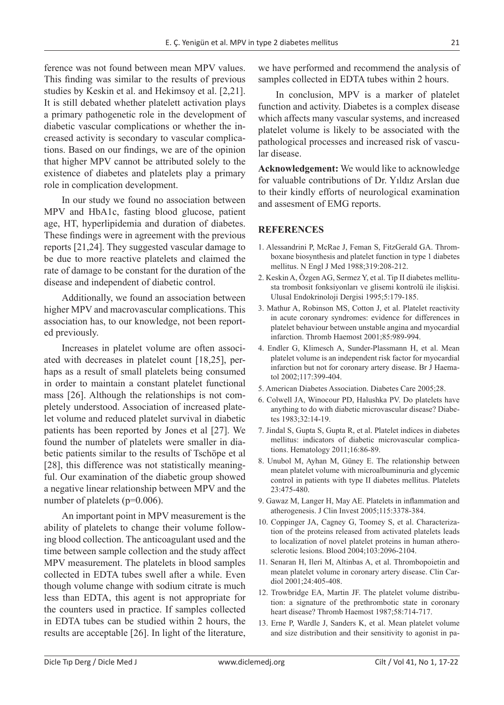ference was not found between mean MPV values. This finding was similar to the results of previous studies by Keskin et al. and Hekimsoy et al. [2,21]. It is still debated whether platelett activation plays a primary pathogenetic role in the development of diabetic vascular complications or whether the increased activity is secondary to vascular complications. Based on our findings, we are of the opinion that higher MPV cannot be attributed solely to the existence of diabetes and platelets play a primary role in complication development.

In our study we found no association between MPV and HbA1c, fasting blood glucose, patient age, HT, hyperlipidemia and duration of diabetes. These findings were in agreement with the previous reports [21,24]. They suggested vascular damage to be due to more reactive platelets and claimed the rate of damage to be constant for the duration of the disease and independent of diabetic control.

Additionally, we found an association between higher MPV and macrovascular complications. This association has, to our knowledge, not been reported previously.

Increases in platelet volume are often associated with decreases in platelet count [18,25], perhaps as a result of small platelets being consumed in order to maintain a constant platelet functional mass [26]. Although the relationships is not completely understood. Association of increased platelet volume and reduced platelet survival in diabetic patients has been reported by Jones et al [27]. We found the number of platelets were smaller in diabetic patients similar to the results of Tschöpe et al [28], this difference was not statistically meaningful. Our examination of the diabetic group showed a negative linear relationship between MPV and the number of platelets (p=0.006).

An important point in MPV measurement is the ability of platelets to change their volume following blood collection. The anticoagulant used and the time between sample collection and the study affect MPV measurement. The platelets in blood samples collected in EDTA tubes swell after a while. Even though volume change with sodium citrate is much less than EDTA, this agent is not appropriate for the counters used in practice. If samples collected in EDTA tubes can be studied within 2 hours, the results are acceptable [26]. In light of the literature, we have performed and recommend the analysis of samples collected in EDTA tubes within 2 hours.

In conclusion, MPV is a marker of platelet function and activity. Diabetes is a complex disease which affects many vascular systems, and increased platelet volume is likely to be associated with the pathological processes and increased risk of vascular disease.

**Acknowledgement:** We would like to acknowledge for valuable contributions of Dr. Yıldız Arslan due to their kindly efforts of neurological examination and assesment of EMG reports.

### **REFERENCES**

- 1. Alessandrini P, McRae J, Feman S, FitzGerald GA. Thromboxane biosynthesis and platelet function in type 1 diabetes mellitus. N Engl J Med 1988;319:208-212.
- 2. Keskin A, Özgen AG, Sermez Y, et al. Tip II diabetes mellitusta trombosit fonksiyonları ve glisemi kontrolü ile ilişkisi. Ulusal Endokrinoloji Dergisi 1995;5:179-185.
- 3. Mathur A, Robinson MS, Cotton J, et al. Platelet reactivity in acute coronary syndromes: evidence for differences in platelet behaviour between unstable angina and myocardial infarction. Thromb Haemost 2001;85:989-994.
- 4. Endler G, Klimesch A, Sunder-Plassmann H, et al. Mean platelet volume is an independent risk factor for myocardial infarction but not for coronary artery disease. Br J Haematol 2002;117:399-404.
- 5. American Diabetes Association. Diabetes Care 2005;28.
- 6. Colwell JA, Winocour PD, Halushka PV. Do platelets have anything to do with diabetic microvascular disease? Diabetes 1983;32:14-19.
- 7. Jindal S, Gupta S, Gupta R, et al. Platelet indices in diabetes mellitus: indicators of diabetic microvascular complications. Hematology 2011;16:86-89.
- 8. Unubol M, Ayhan M, Güney E. The relationship between mean platelet volume with microalbuminuria and glycemic control in patients with type II diabetes mellitus. Platelets 23:475-480.
- 9. Gawaz M, Langer H, May AE. Platelets in inflammation and atherogenesis. J Clin Invest 2005;115:3378-384.
- 10. Coppinger JA, Cagney G, Toomey S, et al. Characterization of the proteins released from activated platelets leads to localization of novel platelet proteins in human atherosclerotic lesions. Blood 2004;103:2096-2104.
- 11. Senaran H, Ileri M, Altinbas A, et al. Thrombopoietin and mean platelet volume in coronary artery disease. Clin Cardiol 2001;24:405-408.
- 12. Trowbridge EA, Martin JF. The platelet volume distribution: a signature of the prethrombotic state in coronary heart disease? Thromb Haemost 1987;58:714-717.
- 13. Erne P, Wardle J, Sanders K, et al. Mean platelet volume and size distribution and their sensitivity to agonist in pa-